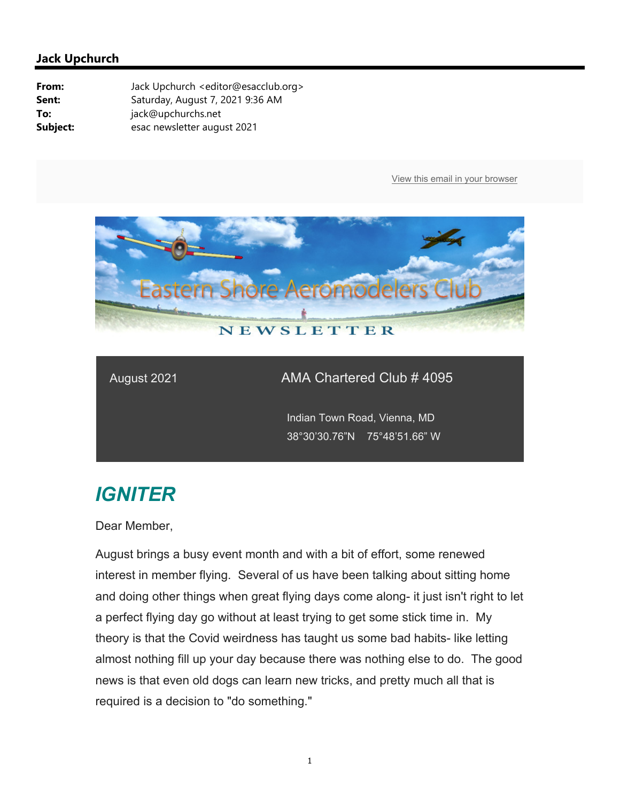

## August 2021 **AMA Chartered Club # 4095**

 Indian Town Road, Vienna, MD 38°30'30.76"N 75°48'51.66" W

## *IGNITER*

Dear Member,

August brings a busy event month and with a bit of effort, some renewed interest in member flying. Several of us have been talking about sitting home and doing other things when great flying days come along- it just isn't right to let a perfect flying day go without at least trying to get some stick time in. My theory is that the Covid weirdness has taught us some bad habits- like letting almost nothing fill up your day because there was nothing else to do. The good news is that even old dogs can learn new tricks, and pretty much all that is required is a decision to "do something."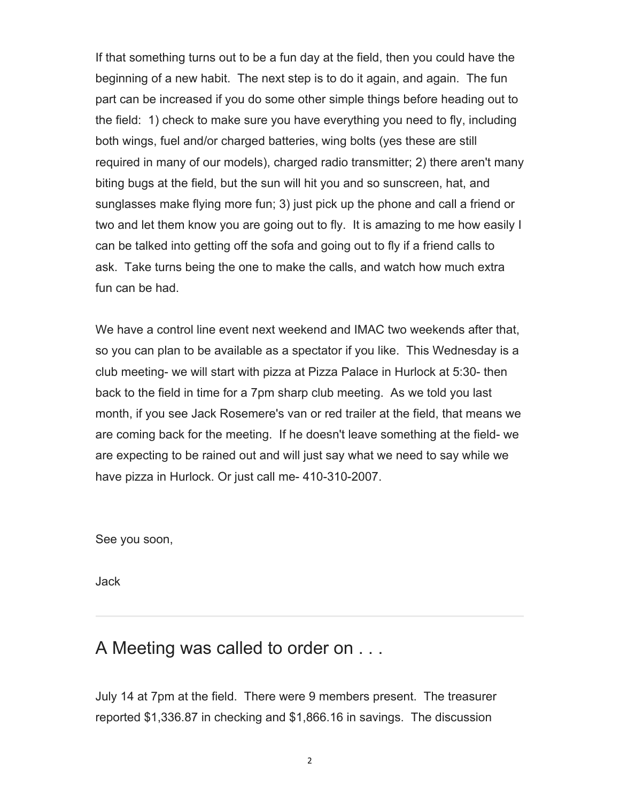If that something turns out to be a fun day at the field, then you could have the beginning of a new habit. The next step is to do it again, and again. The fun part can be increased if you do some other simple things before heading out to the field: 1) check to make sure you have everything you need to fly, including both wings, fuel and/or charged batteries, wing bolts (yes these are still required in many of our models), charged radio transmitter; 2) there aren't many biting bugs at the field, but the sun will hit you and so sunscreen, hat, and sunglasses make flying more fun; 3) just pick up the phone and call a friend or two and let them know you are going out to fly. It is amazing to me how easily I can be talked into getting off the sofa and going out to fly if a friend calls to ask. Take turns being the one to make the calls, and watch how much extra fun can be had.

We have a control line event next weekend and IMAC two weekends after that, so you can plan to be available as a spectator if you like. This Wednesday is a club meeting- we will start with pizza at Pizza Palace in Hurlock at 5:30- then back to the field in time for a 7pm sharp club meeting. As we told you last month, if you see Jack Rosemere's van or red trailer at the field, that means we are coming back for the meeting. If he doesn't leave something at the field- we are expecting to be rained out and will just say what we need to say while we have pizza in Hurlock. Or just call me- 410-310-2007.

See you soon,

Jack

## A Meeting was called to order on . . .

July 14 at 7pm at the field. There were 9 members present. The treasurer reported \$1,336.87 in checking and \$1,866.16 in savings. The discussion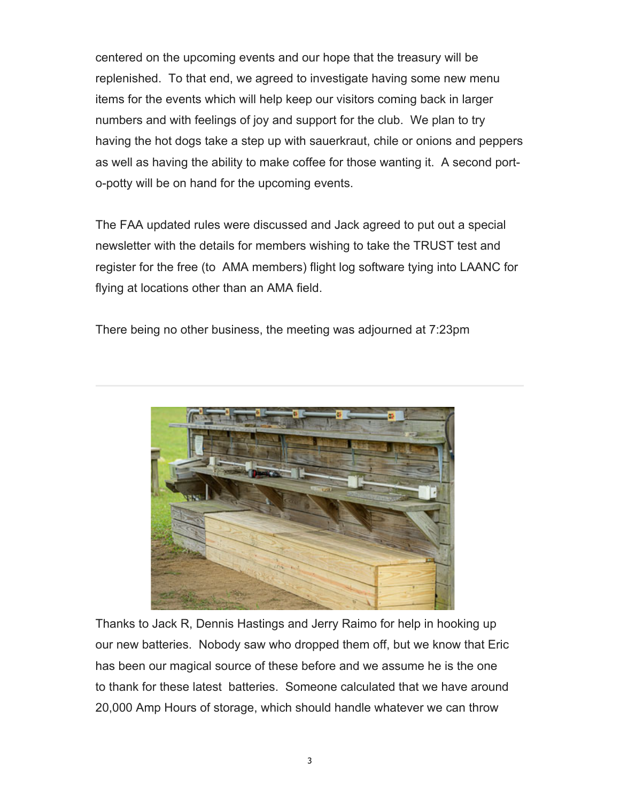centered on the upcoming events and our hope that the treasury will be replenished. To that end, we agreed to investigate having some new menu items for the events which will help keep our visitors coming back in larger numbers and with feelings of joy and support for the club. We plan to try having the hot dogs take a step up with sauerkraut, chile or onions and peppers as well as having the ability to make coffee for those wanting it. A second porto-potty will be on hand for the upcoming events.

The FAA updated rules were discussed and Jack agreed to put out a special newsletter with the details for members wishing to take the TRUST test and register for the free (to AMA members) flight log software tying into LAANC for flying at locations other than an AMA field.

There being no other business, the meeting was adjourned at 7:23pm



Thanks to Jack R, Dennis Hastings and Jerry Raimo for help in hooking up our new batteries. Nobody saw who dropped them off, but we know that Eric has been our magical source of these before and we assume he is the one to thank for these latest batteries. Someone calculated that we have around 20,000 Amp Hours of storage, which should handle whatever we can throw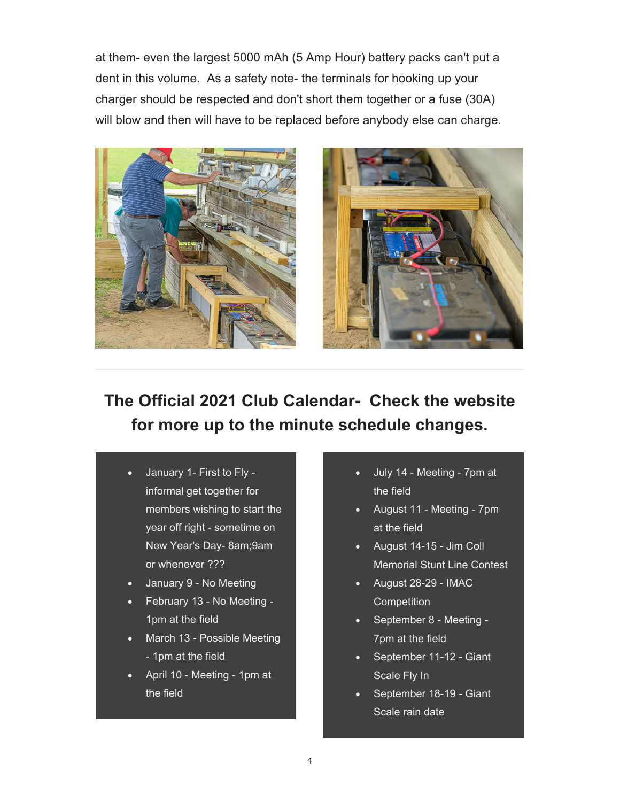at them- even the largest 5000 mAh (5 Amp Hour) battery packs can't put a dent in this volume. As a safety note- the terminals for hooking up your charger should be respected and don't short them together or a fuse (30A) will blow and then will have to be replaced before anybody else can charge.





**The Official 2021 Club Calendar- Check the website for more up to the minute schedule changes.** 

- January 1- First to Fly informal get together for members wishing to start the year off right - sometime on New Year's Day- 8am;9am or whenever ???
- January 9 No Meeting
- February 13 No Meeting 1pm at the field
- March 13 Possible Meeting - 1pm at the field
- April 10 Meeting 1pm at the field
- July 14 Meeting 7pm at the field
- August 11 Meeting 7pm at the field
- August 14-15 Jim Coll Memorial Stunt Line Contest
- August 28-29 IMAC **Competition**
- September 8 Meeting -7pm at the field
- September 11-12 Giant Scale Fly In
- September 18-19 Giant Scale rain date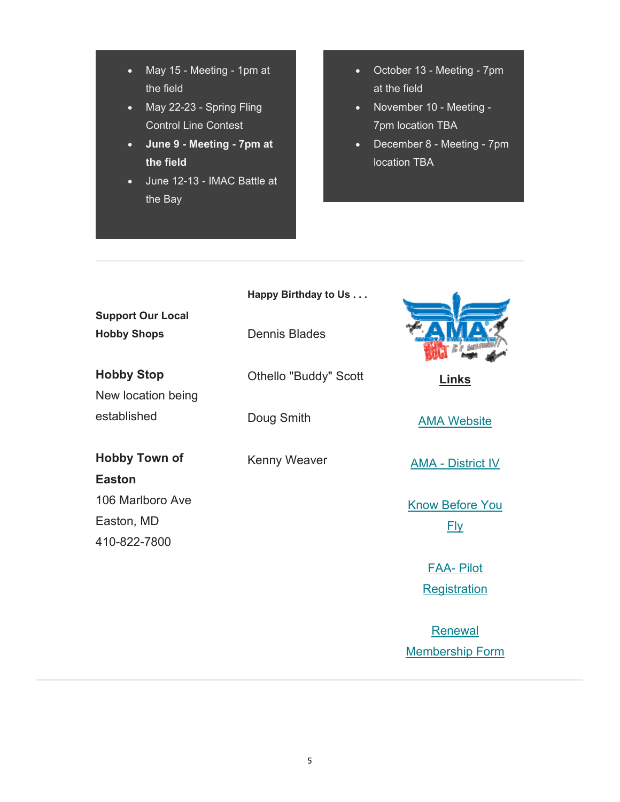- May 15 Meeting 1pm at the field
- May 22-23 Spring Fling Control Line Contest
- **June 9 Meeting 7pm at the field**
- June 12-13 IMAC Battle at the Bay
- October 13 Meeting 7pm at the field
- November 10 Meeting -7pm location TBA
- December 8 Meeting 7pm location TBA

| <b>Support Our Local</b>              | Happy Birthday to Us         |                          |
|---------------------------------------|------------------------------|--------------------------|
| <b>Hobby Shops</b>                    | <b>Dennis Blades</b>         |                          |
| <b>Hobby Stop</b>                     | <b>Othello "Buddy" Scott</b> | <b>Links</b>             |
| New location being                    |                              |                          |
| established                           | Doug Smith                   | <b>AMA Website</b>       |
| <b>Hobby Town of</b><br><b>Easton</b> | <b>Kenny Weaver</b>          | <b>AMA - District IV</b> |
| 106 Marlboro Ave                      |                              | <b>Know Before You</b>   |
| Easton, MD                            |                              | <b>Fly</b>               |
| 410-822-7800                          |                              |                          |
|                                       |                              | <b>FAA-Pilot</b>         |
|                                       |                              | Registration             |

Renewal Membership Form